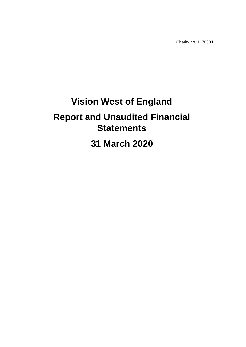Charity no. 1178384

# **Vision West of England Report and Unaudited Financial Statements**

**31 March 2020**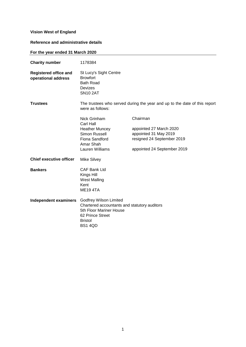## **Reference and administrative details**

## **For the year ended 31 March 2020**

| <b>Charity number</b>                               | 1178384                                                                                                                                                          |                                                                           |
|-----------------------------------------------------|------------------------------------------------------------------------------------------------------------------------------------------------------------------|---------------------------------------------------------------------------|
| <b>Registered office and</b><br>operational address | St Lucy's Sight Centre<br><b>Browfort</b><br><b>Bath Road</b><br>Devizes<br><b>SN10 2AT</b>                                                                      |                                                                           |
| <b>Trustees</b>                                     | were as follows:                                                                                                                                                 | The trustees who served during the year and up to the date of this report |
|                                                     | Nick Grinham<br>Carl Hall                                                                                                                                        | Chairman                                                                  |
|                                                     | <b>Heather Muncey</b>                                                                                                                                            | appointed 27 March 2020                                                   |
|                                                     | Simon Russell                                                                                                                                                    | appointed 31 May 2019                                                     |
|                                                     | Fiona Sandford                                                                                                                                                   | resigned 24 September 2019                                                |
|                                                     | Amar Shah                                                                                                                                                        |                                                                           |
|                                                     | Lauren Williams                                                                                                                                                  | appointed 24 September 2019                                               |
| <b>Chief executive officer</b>                      | <b>Mike Silvey</b>                                                                                                                                               |                                                                           |
| <b>Bankers</b>                                      | <b>CAF Bank Ltd</b><br>Kings Hill<br><b>West Malling</b><br>Kent<br><b>ME194TA</b>                                                                               |                                                                           |
| <b>Independent examiners</b>                        | <b>Godfrey Wilson Limited</b><br>Chartered accountants and statutory auditors<br>5th Floor Mariner House<br>62 Prince Street<br><b>Bristol</b><br><b>BS1 4QD</b> |                                                                           |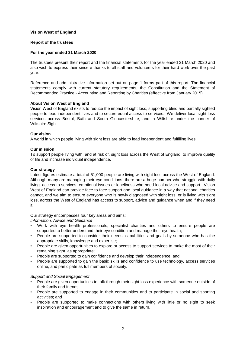## **Report of the trustees**

## **For the year ended 31 March 2020**

The trustees present their report and the financial statements for the year ended 31 March 2020 and also wish to express their sincere thanks to all staff and volunteers for their hard work over the past year.

Reference and administrative information set out on page 1 forms part of this report. The financial statements comply with current statutory requirements, the Constitution and the Statement of Recommended Practice - Accounting and Reporting by Charities (effective from January 2015).

## **About Vision West of England**

Vision West of England exists to reduce the impact of sight loss, supporting blind and partially sighted people to lead independent lives and to secure equal access to services. We deliver local sight loss services across Bristol, Bath and South Gloucestershire, and in Wiltshire under the banner of Wiltshire Sight.

## **Our vision**

A world in which people living with sight loss are able to lead independent and fulfilling lives.

## **Our mission**

To support people living with, and at risk of, sight loss across the West of England, to improve quality of life and increase individual independence.

## **Our strategy**

Latest figures estimate a total of 51,000 people are living with sight loss across the West of England. Although many are managing their eye conditions, there are a huge number who struggle with daily living, access to services, emotional issues or loneliness who need local advice and support. Vision West of England can provide face-to-face support and local guidance in a way that national charities cannot, and we aim to ensure everyone who is newly diagnosed with sight loss, or is living with sight loss, across the West of England has access to support, advice and guidance when and if they need it.

Our strategy encompasses four key areas and aims:

*Information, Advice and Guidance*

- Work with eye health professionals, specialist charities and others to ensure people are supported to better understand their eye condition and manage their eye health;
- People are supported to consider their needs, capabilities and goals by someone who has the appropriate skills, knowledge and expertise;
- People are given opportunities to explore or access to support services to make the most of their remaining sight, as appropriate;
- People are supported to gain confidence and develop their independence; and
- People are supported to gain the basic skills and confidence to use technology, access services online, and participate as full members of society.

## *Support and Social Engagement*

- People are given opportunities to talk through their sight loss experience with someone outside of their family and friends;
- People are supported to engage in their communities and to participate in social and sporting activities; and
- People are supported to make connections with others living with little or no sight to seek inspiration and encouragement and to give the same in return.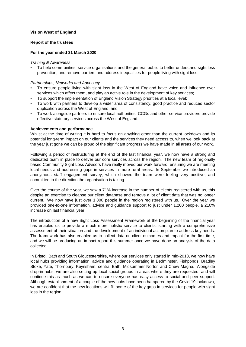## **Report of the trustees**

## **For the year ended 31 March 2020**

## *Training & Awareness*

▪ To help communities, service organisations and the general public to better understand sight loss prevention, and remove barriers and address inequalities for people living with sight loss.

## *Partnerships, Networks and Advocacy*

- To ensure people living with sight loss in the West of England have voice and influence over services which affect them, and play an active role in the development of key services;
- To support the implementation of England Vision Strategy priorities at a local level;
- To work with partners to develop a wider area of consistency, good practice and reduced sector duplication across the West of England; and
- To work alongside partners to ensure local authorities, CCGs and other service providers provide effective statutory services across the West of England.

## **Achievements and performance**

Whilst at the time of writing it is hard to focus on anything other than the current lockdown and its potential long-term impact on our clients and the services they need access to, when we look back at the year just gone we can be proud of the significant progress we have made in all areas of our work.

Following a period of restructuring at the end of the last financial year, we now have a strong and dedicated team in place to deliver our core services across the region. The new team of regionally based Community Sight Loss Advisors have really moved our work forward, ensuring we are meeting local needs and addressing gaps in services in more rural areas. In September we introduced an anonymous staff engagement survey, which showed the team were feeling very positive, and committed to the direction the organisation is taking.

Over the course of the year, we saw a 71% increase in the number of clients registered with us, this despite an exercise to cleanse our client database and remove a lot of client data that was no longer current. We now have just over 1,800 people in the region registered with us. Over the year we provided one-to-one information, advice and guidance support to just under 1,200 people, a 210% increase on last financial year.

The introduction of a new Sight Loss Assessment Framework at the beginning of the financial year has enabled us to provide a much more holistic service to clients, starting with a comprehensive assessment of their situation and the development of an individual action plan to address key needs. The framework has also enabled us to collect data on client outcomes and impact for the first time, and we will be producing an impact report this summer once we have done an analysis of the data collected.

In Bristol, Bath and South Gloucestershire, where our services only started in mid-2018, we now have local hubs providing information, advice and guidance operating in Bedminster, Fishponds, Bradley Stoke, Yate, Thornbury, Keynsham, central Bath, Midsummer Norton and Chew Magna. Alongside drop-in hubs, we are also setting up local social groups in areas where they are requested, and will continue this as much as we can to ensure everyone has easy access to social and peer support. Although establishment of a couple of the new hubs have been hampered by the Covid-19 lockdown, we are confident that the new locations will fill some of the key gaps in services for people with sight loss in the region.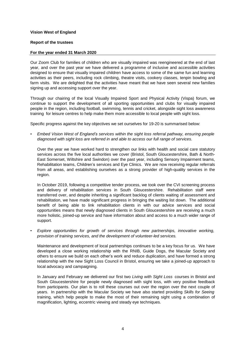## **Report of the trustees**

## **For the year ended 31 March 2020**

Our Zoom Club for families of children who are visually impaired was reengineered at the end of last year, and over the past year we have delivered a programme of inclusive and accessible activities designed to ensure that visually impaired children have access to some of the same fun and learning activities as their peers, including rock climbing, theatre visits, cookery classes, tenpin bowling and farm visits. We are delighted that the activities have meant that we have seen several new families signing up and accessing support over the year.

Through our chairing of the local Visually Impaired Sport and Physical Activity (Vispa) forum, we continue to support the development of all sporting opportunities and clubs for visually impaired people in the region, including football, swimming, tennis and cricket, alongside sight loss awareness training for leisure centres to help make them more accessible to local people with sight loss.

Specific progress against the key objectives we set ourselves for 19-20 is summarised below:

▪ *Embed Vision West of England's services within the sight loss referral pathway, ensuring people diagnosed with sight loss are referred in and able to access our full range of services.*

Over the year we have worked hard to strengthen our links with health and social care statutory services across the five local authorities we cover (Bristol, South Gloucestershire, Bath & North-East Somerset, Wiltshire and Swindon) over the past year, including Sensory Impairment teams, Rehabilitation teams, Children's services and Eye Clinics. We are now receiving regular referrals from all areas, and establishing ourselves as a strong provider of high-quality services in the region.

In October 2019, following a competitive tender process, we took over the CVI screening process and delivery of rehabilitation services in South Gloucestershire. Rehabilitation staff were transferred over, and despite inheriting a significant backlog of clients waiting of assessment and rehabilitation, we have made significant progress in bringing the waiting list down. The additional benefit of being able to link rehabilitation clients in with our advice services and social opportunities means that newly diagnosed clients in South Gloucestershire are receiving a much more holistic, joined-up service and have information about and access to a much wider range of support.

▪ *Explore opportunities for growth of services through new partnerships, innovative working, provision of training services, and the development of volunteer-led services.*

Maintenance and development of local partnerships continues to be a key focus for us. We have developed a close working relationship with the RNIB, Guide Dogs, the Macular Society and others to ensure we build on each other's work and reduce duplication, and have formed a strong relationship with the new Sight Loss Council in Bristol, ensuring we take a joined-up approach to local advocacy and campaigning.

In January and February we delivered our first two *Living with Sight Loss* courses in Bristol and South Gloucestershire for people newly diagnosed with sight loss, with very positive feedback from participants. Our plan is to roll these courses out over the region over the next couple of years. In partnership with the Macular Society we have also started providing *Skills for Seeing* training, which help people to make the most of their remaining sight using a combination of magnification, lighting, eccentric viewing and steady eye techniques.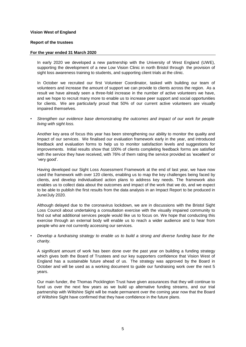## **Report of the trustees**

## **For the year ended 31 March 2020**

In early 2020 we developed a new partnership with the University of West England (UWE), supporting the development of a new Low Vision Clinic in north Bristol through the provision of sight loss awareness training to students, and supporting client trials at the clinic.

In October we recruited our first Volunteer Coordinator, tasked with building our team of volunteers and increase the amount of support we can provide to clients across the region. As a result we have already seen a three-fold increase in the number of active volunteers we have, and we hope to recruit many more to enable us to increase peer support and social opportunities for clients. We are particularly proud that 50% of our current active volunteers are visually impaired themselves.

▪ *Strengthen our evidence base demonstrating the outcomes and impact of our work for people living with sight loss.*

Another key area of focus this year has been strengthening our ability to monitor the quality and impact of our services. We finalised our evaluation framework early in the year, and introduced feedback and evaluation forms to help us to monitor satisfaction levels and suggestions for improvements. Initial results show that 100% of clients completing feedback forms are satisfied with the service they have received, with 76% of them rating the service provided as 'excellent' or 'very good'.

Having developed our Sight Loss Assessment Framework at the end of last year, we have now used the framework with over 120 clients, enabling us to map the key challenges being faced by clients, and develop individualised action plans to address key needs. The framework also enables us to collect data about the outcomes and impact of the work that we do, and we expect to be able to publish the first results from the data analysis in an Impact Report to be produced in June/July 2020.

Although delayed due to the coronavirus lockdown, we are in discussions with the Bristol Sight Loss Council about undertaking a consultation exercise with the visually impaired community to find out what additional services people would like us to focus on. We hope that conducting this exercise through an external body will enable us to reach a wider audience and to hear from people who are not currently accessing our services.

▪ *Develop a fundraising strategy to enable us to build a strong and diverse funding base for the charity.*

A significant amount of work has been done over the past year on building a funding strategy which gives both the Board of Trustees and our key supporters confidence that Vision West of England has a sustainable future ahead of us. The strategy was approved by the Board in October and will be used as a working document to guide our fundraising work over the next 5 years.

Our main funder, the Thomas Pocklington Trust have given assurances that they will continue to fund us over the next few years as we build up alternative funding streams, and our trial partnership with Wiltshire Sight will be made permanent over the coming year now that the Board of Wiltshire Sight have confirmed that they have confidence in the future plans.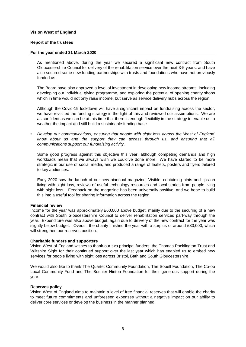## **Report of the trustees**

## **For the year ended 31 March 2020**

As mentioned above, during the year we secured a significant new contract from South Gloucestershire Council for delivery of the rehabilitation service over the next 3-5 years, and have also secured some new funding partnerships with trusts and foundations who have not previously funded us.

The Board have also approved a level of investment in developing new income streams, including developing our individual giving programme, and exploring the potential of opening charity shops which in time would not only raise income, but serve as service delivery hubs across the region.

Although the Covid-19 lockdown will have a significant impact on fundraising across the sector, we have revisited the funding strategy in the light of this and reviewed our assumptions. We are as confident as we can be at this time that there is enough flexibility in the strategy to enable us to weather the impact and still build a sustainable funding base.

▪ *Develop our communications, ensuring that people with sight loss across the West of England know about us and the support they can access through us, and ensuring that all communications support our fundraising activity.* 

Some good progress against this objective this year, although competing demands and high workloads mean that we always wish we could've done more. We have started to be more strategic in our use of social media, and produced a range of leaflets, posters and flyers tailored to key audiences.

Early 2020 saw the launch of our new biannual magazine, Visible, containing hints and tips on living with sight loss, reviews of useful technology resources and local stories from people living with sight loss. Feedback on the magazine has been universally positive, and we hope to build this into a useful tool for sharing information across the region.

## **Financial review**

Income for the year was approximately £60,000 above budget, mainly due to the securing of a new contract with South Gloucestershire Council to deliver rehabilitation services part-way through the year. Expenditure was also above budget, again due to delivery of the new contract for the year was slightly below budget. Overall, the charity finished the year with a surplus of around £30,000, which will strengthen our reserves position.

## **Charitable funders and supporters**

Vision West of England wishes to thank our two principal funders, the Thomas Pocklington Trust and Wiltshire Sight for their continued support over the last year which has enabled us to embed new services for people living with sight loss across Bristol, Bath and South Gloucestershire.

We would also like to thank The Quartet Community Foundation, The Sobell Foundation, The Co-op Local Community Fund and The Boshier Hinton Foundation for their generous support during the year.

## **Reserves policy**

Vision West of England aims to maintain a level of free financial reserves that will enable the charity to meet future commitments and unforeseen expenses without a negative impact on our ability to deliver core services or develop the business in the manner planned.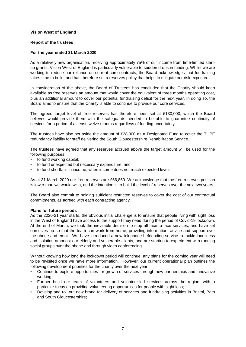## **Report of the trustees**

## **For the year ended 31 March 2020**

As a relatively new organisation, receiving approximately 75% of our income from time-limited startup grants, Vision West of England is particularly vulnerable to sudden drops in funding. Whilst we are working to reduce our reliance on current core contracts, the Board acknowledges that fundraising takes time to build, and has therefore set a reserves policy that helps to mitigate our risk exposure.

In consideration of the above, the Board of Trustees has concluded that the Charity should keep available as free reserves an amount that would cover the equivalent of three months operating cost, plus an additional amount to cover our potential fundraising deficit for the next year. In doing so, the Board aims to ensure that the Charity is able to continue to provide our core services.

The agreed target level of free reserves has therefore been set at £130,000, which the Board believes would provide them with the safeguards needed to be able to guarantee continuity of services for a period of at least twelve months regardless of funding uncertainty.

The trustees have also set aside the amount of £28,000 as a Designated Fund to cover the TUPE redundancy liability for staff delivering the South Gloucestershire Rehabilitation Service.

The trustees have agreed that any reserves accrued above the target amount will be used for the following purposes:

- to fund working capital;
- to fund unexpected but necessary expenditure; and
- to fund shortfalls in income, when income does not reach expected levels.

As at 31 March 2020 our free reserves are £66,860. We acknowledge that the free reserves position is lower than we would wish, and the intention is to build the level of reserves over the next two years.

The Board also commit to holding sufficient restricted reserves to cover the cost of our contractual commitments, as agreed with each contracting agency.

## **Plans for future periods**

As the 2020-21 year starts, the obvious initial challenge is to ensure that people living with sight loss in the West of England have access to the support they need during the period of Covid-19 lockdown. At the end of March, we took the inevitable decision to stop all face-to-face services, and have set ourselves up so that the team can work from home, providing information, advice and support over the phone and email. We have introduced a new telephone befriending service to tackle loneliness and isolation amongst our elderly and vulnerable clients, and are starting to experiment with running social groups over the phone and through video conferencing.

Without knowing how long the lockdown period will continue, any plans for the coming year will need to be revisited once we have more information. However, our current operational plan outlines the following development priorities for the charity over the next year:

- Continue to explore opportunities for growth of services through new partnerships and innovative working;
- Further build our team of volunteers and volunteer-led services across the region, with a particular focus on providing volunteering opportunities for people with sight loss;
- Develop and roll-out new brand for delivery of services and fundraising activities in Bristol, Bath and South Gloucestershire;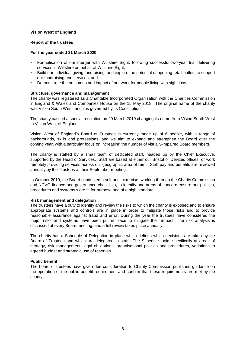## **Report of the trustees**

## **For the year ended 31 March 2020**

- Formalisation of our merger with Wiltshire Sight, following successful two-year trial delivering services in Wiltshire on behalf of Wiltshire Sight;
- Build our individual giving fundraising, and explore the potential of opening retail outlets to support our fundraising and services; and
- Demonstrate the outcomes and impact of our work for people living with sight loss.

## **Structure, governance and management**

The charity was registered as a Charitable Incorporated Organisation with the Charities Commission in England & Wales and Companies House on the 15 May 2018. The original name of the charity was Vision South West, and it is governed by its Constitution.

The charity passed a special resolution on 29 March 2019 changing its name from Vision South West to Vision West of England.

Vision West of England's Board of Trustees is currently made up of 6 people, with a range of backgrounds, skills and professions, and we aim to expand and strengthen the Board over the coming year, with a particular focus on increasing the number of visually-impaired Board members.

The charity is staffed by a small team of dedicated staff, headed up by the Chief Executive, supported by the Head of Services. Staff are based at either our Bristol or Devizes offices, or work remotely providing services across our geographic area of remit. Staff pay and benefits are reviewed annually by the Trustees at their September meeting.

In October 2019, the Board conducted a self-audit exercise, working through the Charity Commission and NCVO finance and governance checklists, to identify and areas of concern ensure our policies, procedures and systems were fit for purpose and of a high standard.

## **Risk management and delegation**

The trustees have a duty to identify and review the risks to which the charity is exposed and to ensure appropriate systems and controls are in place in order to mitigate those risks and to provide reasonable assurance against fraud and error. During the year the trustees have considered the major risks and systems have been put in place to mitigate their impact. The risk analysis is discussed at every Board meeting, and a full review takes place annually.

The charity has a Schedule of Delegation in place which defines which decisions are taken by the Board of Trustees and which are delegated to staff. The Schedule looks specifically at areas of strategy, risk management, legal obligations, organisational policies and procedures, variations to agreed budget and strategic use of reserves.

## **Public benefit**

The board of trustees have given due consideration to Charity Commission published guidance on the operation of the public benefit requirement and confirm that these requirements are met by the charity.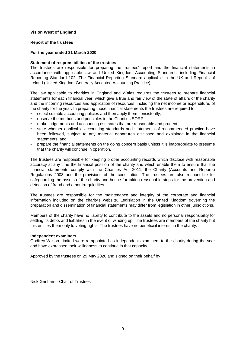## **Report of the trustees**

## **For the year ended 31 March 2020**

## **Statement of responsibilities of the trustees**

The trustees are responsible for preparing the trustees' report and the financial statements in accordance with applicable law and United Kingdom Accounting Standards, including Financial Reporting Standard 102: The Financial Reporting Standard applicable in the UK and Republic of Ireland (United Kingdom Generally Accepted Accounting Practice).

The law applicable to charities in England and Wales requires the trustees to prepare financial statements for each financial year, which give a true and fair view of the state of affairs of the charity and the incoming resources and application of resources, including the net income or expenditure, of the charity for the year. In preparing those financial statements the trustees are required to:

- select suitable accounting policies and then apply them consistently;
- observe the methods and principles in the Charities SORP;
- make judgements and accounting estimates that are reasonable and prudent;
- state whether applicable accounting standards and statements of recommended practice have been followed, subject to any material departures disclosed and explained in the financial statements; and
- prepare the financial statements on the going concern basis unless it is inappropriate to presume that the charity will continue in operation.

The trustees are responsible for keeping proper accounting records which disclose with reasonable accuracy at any time the financial position of the charity and which enable them to ensure that the financial statements comply with the Charities Act 2011, the Charity (Accounts and Reports) Regulations 2008 and the provisions of the constitution. The trustees are also responsible for safeguarding the assets of the charity and hence for taking reasonable steps for the prevention and detection of fraud and other irregularities.

The trustees are responsible for the maintenance and integrity of the corporate and financial information included on the charity's website. Legislation in the United Kingdom governing the preparation and dissemination of financial statements may differ from legislation in other jurisdictions.

Members of the charity have no liability to contribute to the assets and no personal responsibility for settling its debts and liabilities in the event of winding up. The trustees are members of the charity but this entitles them only to voting rights. The trustees have no beneficial interest in the charity.

## **Independent examiners**

Godfrey Wilson Limited were re-appointed as independent examiners to the charity during the year and have expressed their willingness to continue in that capacity.

Approved by the trustees on 29 May 2020 and signed on their behalf by

Nick Grinham - Chair of Trustees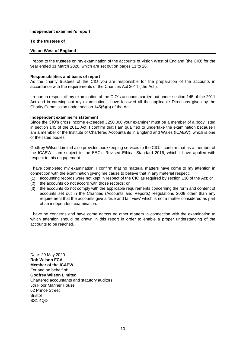#### **Independent examiner's report**

#### **To the trustees of**

#### **Vision West of England**

I report to the trustees on my examination of the accounts of Vision West of England (the CIO) for the year ended 31 March 2020, which are set out on pages 11 to 26.

#### **Responsibilities and basis of report**

As the charity trustees of the CIO you are responsible for the preparation of the accounts in accordance with the requirements of the Charities Act 2011 ('the Act').

I report in respect of my examination of the CIO's accounts carried out under section 145 of the 2011 Act and in carrying out my examination I have followed all the applicable Directions given by the Charity Commission under section 145(5)(b) of the Act.

#### **Independent examiner's statement**

Since the CIO's gross income exceeded £250,000 your examiner must be a member of a body listed in section 145 of the 2011 Act. I confirm that I am qualified to undertake the examination because I am a member of the Institute of Chartered Accountants in England and Wales (ICAEW), which is one of the listed bodies.

Godfrey Wilson Limited also provides bookkeeping services to the CIO. I confirm that as a member of the ICAEW I am subject to the FRC's Revised Ethical Standard 2016, which I have applied with respect to this engagement.

I have completed my examination. I confirm that no material matters have come to my attention in connection with the examination giving me cause to believe that in any material respect:

- (1) accounting records were not kept in respect of the CIO as required by section 130 of the Act; or
- (2) the accounts do not accord with those records; or
- (3) the accounts do not comply with the applicable requirements concerning the form and content of accounts set out in the Charities (Accounts and Reports) Regulations 2008 other than any requirement that the accounts give a 'true and fair view' which is not a matter considered as part of an independent examination.

I have no concerns and have come across no other matters in connection with the examination to which attention should be drawn in this report in order to enable a proper understanding of the accounts to be reached.

Date: 29 May 2020 **Rob Wilson FCA Member of the ICAEW** For and on behalf of: **Godfrey Wilson Limited** Chartered accountants and statutory auditors 5th Floor Mariner House 62 Prince Street Bristol BS1 4QD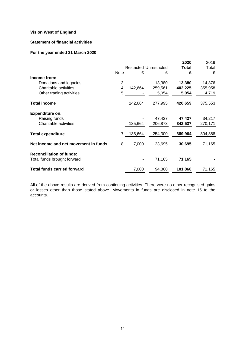## **Statement of financial activities**

## **For the year ended 31 March 2020**

|                                      | <b>Note</b> | £       | <b>Restricted Unrestricted</b><br>£ | 2020<br>Total<br>£ | 2019<br>Total<br>£ |
|--------------------------------------|-------------|---------|-------------------------------------|--------------------|--------------------|
| Income from:                         |             |         |                                     |                    |                    |
| Donations and legacies               | 3           |         | 13,380                              | 13,380             | 14,876             |
| Charitable activities                | 4           | 142,664 | 259,561                             | 402,225            | 355,958            |
| Other trading activities             | 5           |         | 5,054                               | 5,054              | 4,719              |
| <b>Total income</b>                  |             | 142,664 | 277,995                             | 420,659            | 375,553            |
| <b>Expenditure on:</b>               |             |         |                                     |                    |                    |
| Raising funds                        |             |         | 47,427                              | 47,427             | 34,217             |
| Charitable activities                |             | 135,664 | 206,873                             | 342,537            | 270,171            |
| <b>Total expenditure</b>             | 7           | 135,664 | 254,300                             | 389,964            | 304,388            |
| Net income and net movement in funds | 8           | 7,000   | 23,695                              | 30,695             | 71,165             |
| <b>Reconciliation of funds:</b>      |             |         |                                     |                    |                    |
| Total funds brought forward          |             |         | 71,165                              | 71,165             |                    |
| <b>Total funds carried forward</b>   |             | 7,000   | 94,860                              | 101,860            | 71,165             |

All of the above results are derived from continuing activities. There were no other recognised gains or losses other than those stated above. Movements in funds are disclosed in note 15 to the accounts.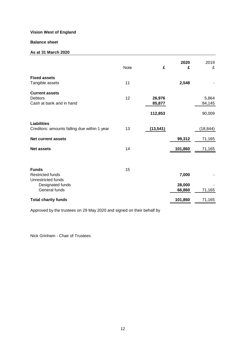## **Balance sheet**

# **As at 31 March 2020**

|                                                                      | <b>Note</b> | £                    | 2020<br>£        | 2019<br>£                 |
|----------------------------------------------------------------------|-------------|----------------------|------------------|---------------------------|
| <b>Fixed assets</b><br>Tangible assets                               | 11          |                      | 2,548            |                           |
| <b>Current assets</b><br><b>Debtors</b><br>Cash at bank and in hand  | 12          | 26,976<br>85,877     |                  | 5,864<br>84,145<br>90,009 |
| <b>Liabilities</b><br>Creditors: amounts falling due within 1 year   | 13          | 112,853<br>(13, 541) |                  | (18, 844)                 |
| <b>Net current assets</b>                                            |             |                      | 99,312           | 71,165                    |
| <b>Net assets</b>                                                    | 14          |                      | 101,860          | 71,165                    |
| <b>Funds</b><br><b>Restricted funds</b><br><b>Unrestricted funds</b> | 15          |                      | 7,000            |                           |
| Designated funds<br>General funds                                    |             |                      | 28,000<br>66,860 | 71,165                    |
| <b>Total charity funds</b>                                           |             |                      | 101,860          | 71,165                    |

Approved by the trustees on 29 May 2020 and signed on their behalf by

Nick Grinham - Chair of Trustees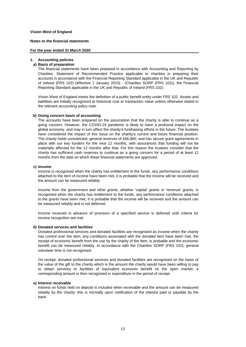#### **Notes to the financial statements**

#### **For the year ended 31 March 2020**

#### **1. Accounting policies**

#### **a) Basis of preparation**

The financial statements have been prepared in accordance with Accounting and Reporting by Charities: Statement of Recommended Practice applicable to charities in preparing their accounts in accordance with the Financial Reporting Standard applicable in the UK and Republic of Ireland (FRS 102) (effective 1 January 2015) - (Charities SORP (FRS 102)), the Financial Reporting Standard applicable in the UK and Republic of Ireland (FRS 102).

Vision West of England meets the definition of a public benefit entity under FRS 102. Assets and liabilities are initially recognised at historical cost or transaction value unless otherwise stated in the relevant accounting policy note.

#### **b) Going concern basis of accounting**

The accounts have been prepared on the assumption that the charity is able to continue as a going concern. However, the COVID-19 pandemic is likely to have a profound impact on the global economy, and may in turn affect the charity's fundraising efforts in the future. The trustees have considered the impact of this issue on the charity's current and future financial position. The charity holds unrestricted, general reserves of £66,860, and has secure grant agreements in place with our key funders for the next 12 months, with assurances that funding will not be materially affected for the 12 months after that. For this reason the trustees consider that the charity has sufficient cash reserves to continue as a going concern for a period of at least 12 months from the date on which these financial statements are approved.

#### **c) Income**

Income is recognised when the charity has entitlement to the funds, any performance conditions attached to the item of income have been met, it is probable that the income will be received and the amount can be measured reliably.

Income from the government and other grants, whether 'capital' grants or 'revenue' grants, is recognised when the charity has entitlement to the funds, any performance conditions attached to the grants have been met, it is probable that the income will be received and the amount can be measured reliably and is not deferred.

Income received in advance of provision of a specified service is deferred until criteria for income recognition are met.

#### **d) Donated services and facilities**

Donated professional services and donated facilities are recognised as income when the charity has control over the item, any conditions associated with the donated item have been met, the receipt of economic benefit from the use by the charity of the item, is probable and the economic benefit can be measured reliably. In accordance with the Charities SORP (FRS 102), general volunteer time is not recognised.

On receipt, donated professional services and donated facilities are recognised on the basis of the value of the gift to the charity which is the amount the charity would have been willing to pay to obtain services or facilities of equivalent economic benefit on the open market; a corresponding amount is then recognised in expenditure in the period of receipt.

#### **e) Interest receivable**

Interest on funds held on deposit is included when receivable and the amount can be measured reliably by the charity: this is normally upon notification of the interest paid or payable by the bank.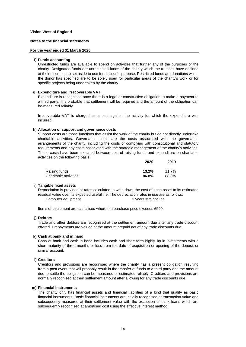#### **Notes to the financial statements**

#### **For the year ended 31 March 2020**

#### **f) Funds accounting**

Unrestricted funds are available to spend on activities that further any of the purposes of the charity. Designated funds are unrestricted funds of the charity which the trustees have decided at their discretion to set aside to use for a specific purpose. Restricted funds are donations which the donor has specified are to be solely used for particular areas of the charity's work or for specific projects being undertaken by the charity.

#### **g) Expenditure and irrecoverable VAT**

Expenditure is recognised once there is a legal or constructive obligation to make a payment to a third party, it is probable that settlement will be required and the amount of the obligation can be measured reliably.

Irrecoverable VAT is charged as a cost against the activity for which the expenditure was incurred.

#### **h) Allocation of support and governance costs**

Support costs are those functions that assist the work of the charity but do not directly undertake charitable activities. Governance costs are the costs associated with the governance arrangements of the charity, including the costs of complying with constitutional and statutory requirements and any costs associated with the strategic management of the charity's activities. These costs have been allocated between cost of raising funds and expenditure on charitable activities on the following basis:

|                       | 2020     | 2019  |
|-----------------------|----------|-------|
| Raising funds         | $13.2\%$ | 11.7% |
| Charitable activities | 86.8%    | 88.3% |

#### **i) Tangible fixed assets**

Computer equipment 3 years straight line Depreciation is provided at rates calculated to write down the cost of each asset to its estimated residual value over its expected useful life. The depreciation rates in use are as follows:

Items of equipment are capitalised where the purchase price exceeds £500.

#### **j) Debtors**

Trade and other debtors are recognised at the settlement amount due after any trade discount offered. Prepayments are valued at the amount prepaid net of any trade discounts due.

#### **k) Cash at bank and in hand**

Cash at bank and cash in hand includes cash and short term highly liquid investments with a short maturity of three months or less from the date of acquisition or opening of the deposit or similar account.

#### **l) Creditors**

Creditors and provisions are recognised where the charity has a present obligation resulting from a past event that will probably result in the transfer of funds to a third party and the amount due to settle the obligation can be measured or estimated reliably. Creditors and provisions are normally recognised at their settlement amount after allowing for any trade discounts due.

#### **m) Financial instruments**

The charity only has financial assets and financial liabilities of a kind that qualify as basic financial instruments. Basic financial instruments are initially recognised at transaction value and subsequently measured at their settlement value with the exception of bank loans which are subsequently recognised at amortised cost using the effective interest method.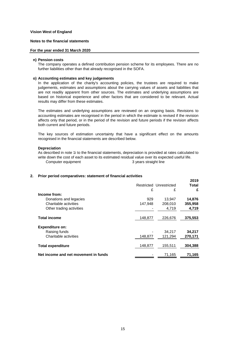#### **Notes to the financial statements**

#### **For the year ended 31 March 2020**

#### **n) Pension costs**

The company operates a defined contribution pension scheme for its employees. There are no further liabilities other than that already recognised in the SOFA.

#### **o) Accounting estimates and key judgements**

In the application of the charity's accounting policies, the trustees are required to make judgements, estimates and assumptions about the carrying values of assets and liabilities that are not readily apparent from other sources. The estimates and underlying assumptions are based on historical experience and other factors that are considered to be relevant. Actual results may differ from these estimates.

The estimates and underlying assumptions are reviewed on an ongoing basis. Revisions to accounting estimates are recognised in the period in which the estimate is revised if the revision affects only that period, or in the period of the revision and future periods if the revision affects both current and future periods.

The key sources of estimation uncertainty that have a significant effect on the amounts recognised in the financial statements are described below.

#### **Depreciation**

Computer equipment 3 years straight line As described in note 1i to the financial statements, depreciation is provided at rates calculated to write down the cost of each asset to its estimated residual value over its expected useful life.

#### **2. Prior period comparatives: statement of financial activities**

|                                      |         |                         | 2019    |
|--------------------------------------|---------|-------------------------|---------|
|                                      |         | Restricted Unrestricted | Total   |
|                                      | £       | £                       | £       |
| Income from:                         |         |                         |         |
| Donations and legacies               | 929     | 13,947                  | 14,876  |
| Charitable activities                | 147,948 | 208,010                 | 355,958 |
| Other trading activities             |         | 4,719                   | 4,719   |
| <b>Total income</b>                  | 148.877 | 226.676                 | 375,553 |
| <b>Expenditure on:</b>               |         |                         |         |
| Raising funds                        |         | 34,217                  | 34,217  |
| Charitable activities                | 148,877 | 121,294                 | 270,171 |
| <b>Total expenditure</b>             | 148,877 | 155.511                 | 304,388 |
| Net income and net movement in funds |         | 71,165                  | 71,165  |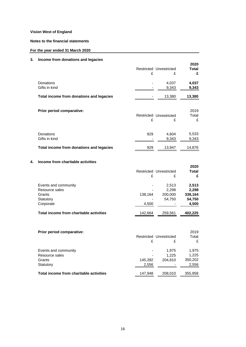**Notes to the financial statements**

# **For the year ended 31 March 2020**

| 3. | Income from donations and legacies       |         |                         |              |
|----|------------------------------------------|---------|-------------------------|--------------|
|    |                                          |         |                         | 2020         |
|    |                                          |         | Restricted Unrestricted | <b>Total</b> |
|    |                                          | £       | £                       | £            |
|    | <b>Donations</b>                         |         | 4,037                   | 4,037        |
|    | Gifts in kind                            |         | 9,343                   | 9,343        |
|    | Total income from donations and legacies |         | 13,380                  | 13,380       |
|    | Prior period comparative:                |         |                         | 2019         |
|    |                                          |         | Restricted Unrestricted | Total        |
|    |                                          | £       | £                       | £            |
|    |                                          |         |                         |              |
|    | Donations                                | 929     | 4,604                   | 5,533        |
|    | Gifts in kind                            |         | 9,343                   | 9,343        |
|    | Total income from donations and legacies | 929     | 13,947                  | 14,876       |
| 4. | Income from charitable activities        |         |                         |              |
|    |                                          |         |                         | 2020         |
|    |                                          |         | Restricted Unrestricted | <b>Total</b> |
|    |                                          | £       | £                       | £            |
|    | Events and community                     |         | 2,513                   | 2,513        |
|    | Resource sales                           |         | 2,298                   | 2,298        |
|    | Grants                                   | 138,164 | 200,000                 | 338,164      |

## Statutory **54,750** 54,750 Corporate **4,500** - 4,500

| Total income from charitable activities | 142.664 | 259.561 | 402.225 |
|-----------------------------------------|---------|---------|---------|
|                                         |         |         |         |

| <b>Prior period comparative:</b>        | £       | Restricted Unrestricted<br>£ | 2019<br>Total<br>£ |
|-----------------------------------------|---------|------------------------------|--------------------|
| Events and community                    |         | 1.975                        | 1,975              |
| Resource sales                          |         | 1.225                        | 1.225              |
| Grants                                  | 145,392 | 204.810                      | 350,202            |
| Statutory                               | 2,556   |                              | 2,556              |
| Total income from charitable activities | 147,948 | 208,010                      | 355,958            |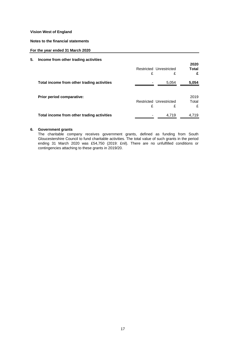**Notes to the financial statements**

#### **For the year ended 31 March 2020**

## **5. Income from other trading activities**

|                                            | £                        | Restricted Unrestricted<br>£ | 2020<br><b>Total</b><br>£ |
|--------------------------------------------|--------------------------|------------------------------|---------------------------|
| Total income from other trading activities | $\overline{\phantom{0}}$ | 5,054                        | 5,054                     |
| Prior period comparative:                  | £                        | Restricted Unrestricted<br>£ | 2019<br>Total<br>£        |
| Total income from other trading activities |                          | 4.719                        |                           |

## **6. Government grants**

The charitable company receives government grants, defined as funding from South Gloucestershire Council to fund charitable activities. The total value of such grants in the period ending 31 March 2020 was £54,750 (2019: £nil). There are no unfulfilled conditions or contingencies attaching to these grants in 2019/20.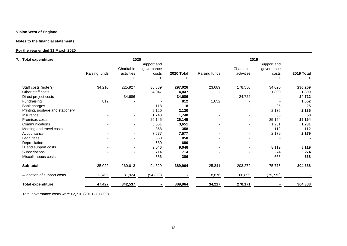## **Notes to the financial statements**

## **For the year ended 31 March 2020**

| 7. Total expenditure             |               | 2020                     |                                    |            |               | 2019                     |                                    |            |
|----------------------------------|---------------|--------------------------|------------------------------------|------------|---------------|--------------------------|------------------------------------|------------|
|                                  | Raising funds | Charitable<br>activities | Support and<br>governance<br>costs | 2020 Total | Raising funds | Charitable<br>activities | Support and<br>governance<br>costs | 2019 Total |
|                                  | £             | £                        | £                                  | £          | £             | £                        | £                                  | £          |
| Staff costs (note 9)             | 34,210        | 225,927                  | 36,889                             | 297,026    | 23,689        | 178,550                  | 34,020                             | 236,259    |
| Other staff costs                |               |                          | 4,047                              | 4,047      |               |                          | 1,800                              | 1,800      |
| Direct project costs             |               | 34,686                   |                                    | 34,686     |               | 24,722                   |                                    | 24,722     |
| Fundraising                      | 812           |                          |                                    | 812        | 1,652         |                          |                                    | 1,652      |
| Bank charges                     |               |                          | 118                                | 118        |               |                          | 25                                 | 25         |
| Printing, postage and stationery |               |                          | 2,120                              | 2,120      |               |                          | 2,135                              | 2,135      |
| Insurance                        |               |                          | 1,748                              | 1,748      |               |                          | 58                                 | 58         |
| Premises costs                   |               |                          | 26,145                             | 26,145     |               |                          | 25,154                             | 25,154     |
| Communications                   |               |                          | 3,651                              | 3,651      |               |                          | 1,231                              | 1,231      |
| Meeting and travel costs         |               |                          | 358                                | 358        |               |                          | 112                                | 112        |
| Accountancy                      |               |                          | 7,577                              | 7,577      |               |                          | 2,179                              | 2,179      |
| Legal fees                       |               |                          | 850                                | 850        |               |                          |                                    |            |
| Depreciation                     |               |                          | 680                                | 680        |               |                          |                                    |            |
| IT and support costs             |               |                          | 9,046                              | 9,046      |               |                          | 8,119                              | 8,119      |
| Subscriptions                    |               |                          | 714                                | 714        |               |                          | 274                                | 274        |
| Miscellaneous costs              |               |                          | 386                                | 386        |               |                          | 668                                | 668        |
| Sub-total                        | 35,022        | 260,613                  | 94,329                             | 389,964    | 25,341        | 203,272                  | 75,775                             | 304,388    |
| Allocation of support costs      | 12,405        | 81,924                   | (94, 329)                          |            | 8,876         | 66,899                   | (75, 775)                          |            |
| <b>Total expenditure</b>         | 47,427        | 342,537                  |                                    | 389,964    | 34,217        | 270,171                  |                                    | 304,388    |

Total governance costs were £2,710 (2019 - £1,800)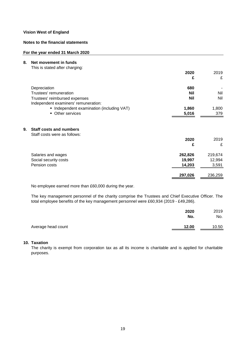## **Notes to the financial statements**

## **For the year ended 31 March 2020**

#### **8. Net movement in funds**

This is stated after charging:

|    |                                           | 2020    | 2019    |
|----|-------------------------------------------|---------|---------|
|    |                                           | £       | £       |
|    | Depreciation                              | 680     |         |
|    | Trustees' remuneration                    | Nil     | Nil     |
|    | Trustees' reimbursed expenses             | Nil     | Nil     |
|    | Independent examiners' remuneration:      |         |         |
|    | • Independent examination (including VAT) | 1,860   | 1,800   |
|    | • Other services                          | 5,016   | 379     |
| 9. | <b>Staff costs and numbers</b>            |         |         |
|    | Staff costs were as follows:              |         |         |
|    |                                           | 2020    | 2019    |
|    |                                           | £       | £       |
|    | Salaries and wages                        | 262,826 | 219,674 |
|    | Social security costs                     | 19,997  | 12,994  |
|    | Pension costs                             | 14,203  | 3,591   |

**297,026** 236,259

No employee earned more than £60,000 during the year.

The key management personnel of the charity comprise the Trustees and Chief Executive Officer. The total employee benefits of the key management personnel were £60,934 (2019 - £49,286).

|                    | 2020<br>No. | 2019<br>No. |
|--------------------|-------------|-------------|
| Average head count | 12.00       | 10.50       |

## **10. Taxation**

The charity is exempt from corporation tax as all its income is charitable and is applied for charitable purposes.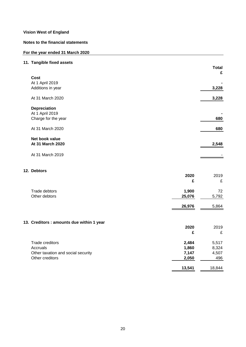## **Notes to the financial statements**

# **For the year ended 31 March 2020**

# **11. Tangible fixed assets**

|                                           |        | <b>Total</b><br>£ |
|-------------------------------------------|--------|-------------------|
| <b>Cost</b>                               |        |                   |
| At 1 April 2019                           |        |                   |
| Additions in year                         |        | 3,228             |
| At 31 March 2020                          |        | 3,228             |
| <b>Depreciation</b>                       |        |                   |
| At 1 April 2019                           |        |                   |
| Charge for the year                       |        | 680               |
| At 31 March 2020                          |        | 680               |
| Net book value                            |        |                   |
| At 31 March 2020                          |        | 2,548             |
| At 31 March 2019                          |        |                   |
| 12. Debtors                               |        |                   |
|                                           | 2020   | 2019              |
|                                           | £      | £                 |
| Trade debtors                             |        | 72                |
| Other debtors                             | 1,900  |                   |
|                                           | 25,076 | 5,792             |
|                                           | 26,976 | 5,864             |
|                                           |        |                   |
| 13. Creditors : amounts due within 1 year |        |                   |
|                                           | 2020   | 2019              |
|                                           | £      | £                 |
| Trade creditors                           | 2,484  | 5,517             |

| Trade creditors                    | 2.484 | 5.517 |
|------------------------------------|-------|-------|
| Accruals                           | 1.860 | 8.324 |
| Other taxation and social security | 7.147 | 4.507 |
| Other creditors                    | 2.050 | 496   |
|                                    |       |       |

**13,541** 18,844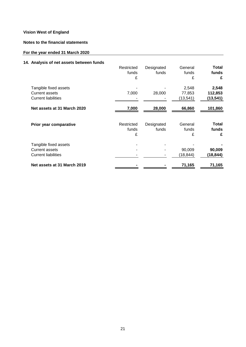**Notes to the financial statements**

# **For the year ended 31 March 2020**

# **14. Analysis of net assets between funds**

|                             | Restricted | Designated | General   | <b>Total</b> |
|-----------------------------|------------|------------|-----------|--------------|
|                             | funds      | funds      | funds     | funds        |
|                             | £          |            | £         | £            |
| Tangible fixed assets       |            |            | 2,548     | 2,548        |
| <b>Current assets</b>       | 7,000      | 28,000     | 77,853    | 112,853      |
| <b>Current liabilities</b>  |            |            | (13, 541) | (13, 541)    |
| Net assets at 31 March 2020 | 7,000      | 28,000     | 66,860    | 101,860      |
| Prior year comparative      | Restricted | Designated | General   | Total        |
|                             | funds      | funds      | funds     | funds        |
|                             | £          |            | £         | £            |
| Tangible fixed assets       |            |            |           |              |
| <b>Current assets</b>       |            |            | 90,009    | 90,009       |
| <b>Current liabilities</b>  |            |            | (18,844)  | (18,844)     |
| Net assets at 31 March 2019 |            |            | 71,165    | 71,165       |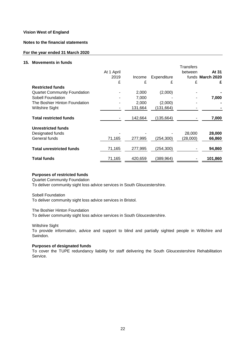**Notes to the financial statements**

## **For the year ended 31 March 2020**

## **15. Movements in funds**

|                                     |            |         |             | Transfers |                  |
|-------------------------------------|------------|---------|-------------|-----------|------------------|
|                                     | At 1 April |         |             | between   | At 31            |
|                                     | 2019       | Income  | Expenditure |           | funds March 2020 |
|                                     | £          | £       | £           | £         | £                |
| <b>Restricted funds</b>             |            |         |             |           |                  |
| <b>Quartet Community Foundation</b> |            | 2,000   | (2,000)     |           |                  |
| Sobell Foundation                   |            | 7,000   |             |           | 7,000            |
| The Boshier Hinton Foundation       |            | 2,000   | (2,000)     |           |                  |
| Wiltshire Sight                     |            | 131,664 | (131,664)   |           |                  |
| <b>Total restricted funds</b>       |            | 142,664 | (135, 664)  |           | 7,000            |
| <b>Unrestricted funds</b>           |            |         |             |           |                  |
| Designated funds                    |            |         |             | 28,000    | 28,000           |
| General funds                       | 71,165     | 277,995 | (254, 300)  | (28,000)  | 66,860           |
| <b>Total unrestricted funds</b>     | 71,165     | 277,995 | (254, 300)  |           | 94,860           |
| <b>Total funds</b>                  | 71,165     | 420,659 | (389,964)   |           | 101,860          |

## **Purposes of restricted funds**

Quartet Community Foundation

To deliver community sight loss advice services in South Gloucestershire.

#### Sobell Foundation

To deliver community sight loss advice services in Bristol.

The Boshier Hinton Foundation

To deliver community sight loss advice services in South Gloucestershire.

Wiltshire Sight

To provide information, advice and support to blind and partially sighted people in Wiltshire and Swindon.

## **Purposes of designated funds**

To cover the TUPE redundancy liability for staff delivering the South Gloucestershire Rehabilitation Service.